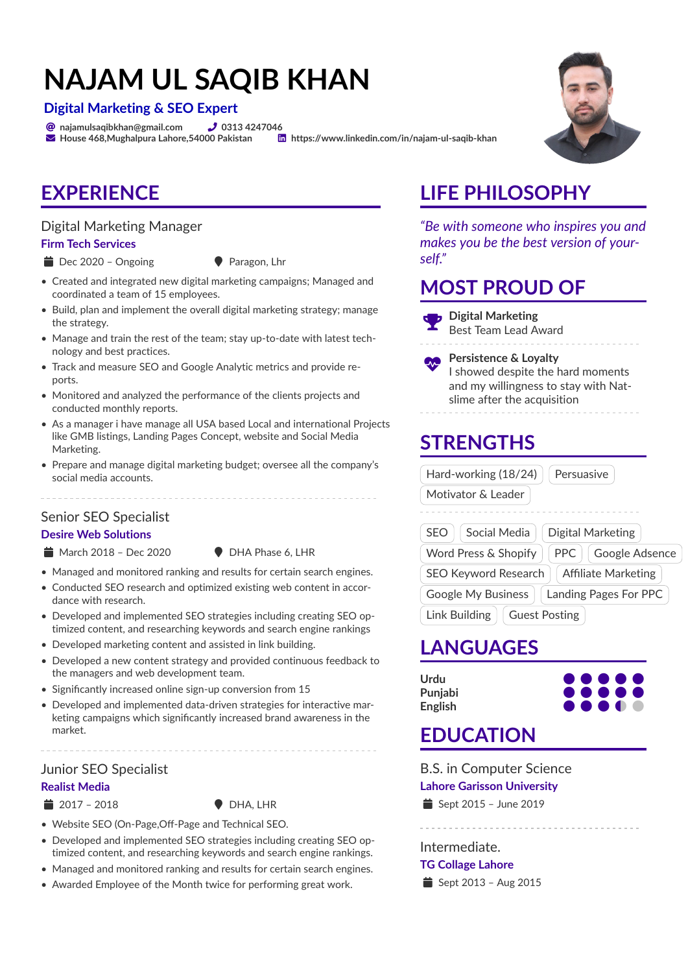# **NAJAM UL SAQIB KHAN**

#### **Digital Marketing & SEO Expert**

 $\bullet$  najamulsaqibkhan@gmail.com  $\bullet$  0313 4247046

 $\blacktriangleright$  House 468, Mughalpura Lahore, 54000 Pakistan  $\Box$  https://www.linkedin.com/in/najam-ul-saqib-khan

### **EXPERIENCE**

#### Digital Marketing Manager

#### **Firm Tech Services**

- Dec 2020 Ongoing Paragon, Lhr
- 
- Created and integrated new digital marketing campaigns; Managed and coordinated a team of 15 employees.
- Build, plan and implement the overall digital marketing strategy; manage the strategy.
- Manage and train the rest of the team; stay up-to-date with latest technology and best practices.
- Track and measure SEO and Google Analytic metrics and provide reports.
- Monitored and analyzed the performance of the clients projects and conducted monthly reports.
- As a manager i have manage all USA based Local and international Projects like GMB listings, Landing Pages Concept, website and Social Media Marketing.
- Prepare and manage digital marketing budget; oversee all the company's social media accounts.

#### Senior SEO Specialist

#### **Desire Web Solutions**

- $\bullet$  March 2018 Dec 2020  $\bullet$  DHA Phase 6, LHR
- 
- Managed and monitored ranking and results for certain search engines.
- Conducted SEO research and optimized existing web content in accordance with research.
- Developed and implemented SEO strategies including creating SEO optimized content, and researching keywords and search engine rankings
- Developed marketing content and assisted in link building.
- Developed a new content strategy and provided continuous feedback to the managers and web development team.
- Significantly increased online sign-up conversion from 15
- Developed and implemented data-driven strategies for interactive marketing campaigns which significantly increased brand awareness in the market.

### Junior SEO Specialist

- **Realist Media**
- 

 $\bullet$  DHA, LHR

- Website SEO (On-Page,Off-Page and Technical SEO.
- Developed and implemented SEO strategies including creating SEO optimized content, and researching keywords and search engine rankings.
- Managed and monitored ranking and results for certain search engines.
- Awarded Employee of the Month twice for performing great work.

### **LIFE PHILOSOPHY**

*"Be with someone who inspires you and makes you be the best version of yourself."*

### **MOST PROUD OF**



Best Team Lead Award

Æ **Persistence & Loyalty** I showed despite the hard moments and my willingness to stay with Natslime after the acquisition

# **STRENGTHS**

| Hard-working (18/24)<br>Persuasive                        |
|-----------------------------------------------------------|
| Motivator & Leader                                        |
|                                                           |
| <b>SEO</b><br>Social Media<br>Digital Marketing           |
| Word Press & Shopify<br><b>PPC</b><br>Google Adsence      |
| <b>SEO Keyword Research</b><br><b>Affiliate Marketing</b> |
| Google My Business<br>Landing Pages For PPC               |
| Link Building<br><b>Guest Posting</b>                     |

### **LANGUAGES**

**Urdu** ○ **Punjabi** ○ **English** ○



### **EDUCATION**

B.S. in Computer Science **Lahore Garisson University**

 $\triangleq$  Sept 2015 – June 2019

Intermediate.

#### **TG Collage Lahore**

 $\triangleq$  Sept 2013 – Aug 2015